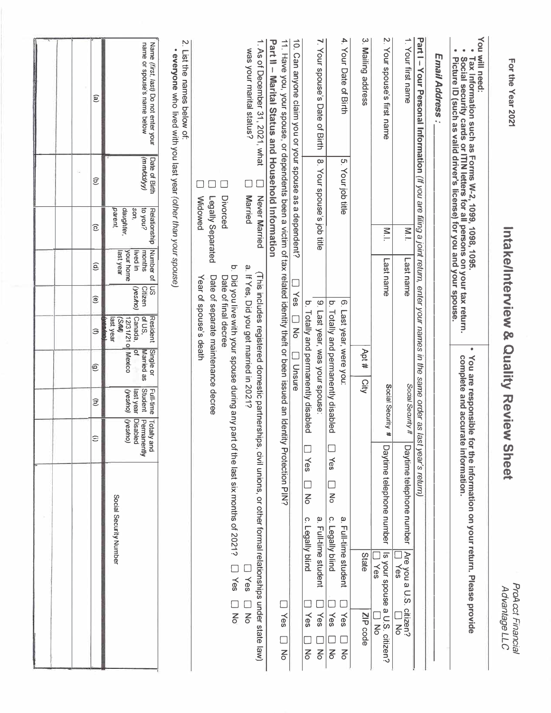| For the Year 2021                                                                                                                                                                                                             |                            |                                                                       | Intake/Interview<br>Sc                                    |                                             |                                                                          | Quality Review                                                                          |                                                     |                                                          | <b>Sheet</b>                                                                             | ProAcct Financial<br>Advantage LLC                                                       |
|-------------------------------------------------------------------------------------------------------------------------------------------------------------------------------------------------------------------------------|----------------------------|-----------------------------------------------------------------------|-----------------------------------------------------------|---------------------------------------------|--------------------------------------------------------------------------|-----------------------------------------------------------------------------------------|-----------------------------------------------------|----------------------------------------------------------|------------------------------------------------------------------------------------------|------------------------------------------------------------------------------------------|
| You<br>۰<br>will need:<br>Picture ID (such as valid driver's license) for you and your spouse.<br>Tax Information such as Forms W-2, 1099, 1096.<br>Social security cards or ITIN letters for all persons on your tax return. |                            |                                                                       |                                                           |                                             | $\bullet$                                                                | You are responsible                                                                     |                                                     |                                                          | complete and accurate information.<br>for the information on your return. Please provide |                                                                                          |
| Email Address:                                                                                                                                                                                                                |                            |                                                                       |                                                           |                                             |                                                                          |                                                                                         |                                                     |                                                          |                                                                                          |                                                                                          |
| Part I – Your Personal Information (If you are filing a joint return, enter your names in the same order as last year's return)                                                                                               |                            |                                                                       |                                                           |                                             |                                                                          |                                                                                         |                                                     |                                                          |                                                                                          |                                                                                          |
| ≓<br>Your first name                                                                                                                                                                                                          |                            | $\sum$                                                                | Last name                                                 |                                             |                                                                          |                                                                                         | Social Security #                                   |                                                          | Daytime telephone number                                                                 | Are you a U.S.<br>□ Yes<br>citizen?<br>$\overline{5}$                                    |
| 2. Your spouse's first name                                                                                                                                                                                                   |                            | $\sum_{i=1}^{n}$                                                      | Last name                                                 |                                             |                                                                          |                                                                                         | Social Security #                                   |                                                          | Daytime telephone number                                                                 | Is your spouse a U.S. citizen?<br>Yes<br>No                                              |
| یب<br>Mailing address                                                                                                                                                                                                         |                            |                                                                       |                                                           |                                             |                                                                          | Apt #<br>City                                                                           |                                                     |                                                          |                                                                                          | State<br>ZIP code                                                                        |
| 4.<br>Your Date of Birth                                                                                                                                                                                                      | S.<br>Your job title       |                                                                       |                                                           | $\tilde{\Theta}$<br>$\overline{\mathsf{q}}$ |                                                                          | Totally and permanently disabled<br>Last year, were you:                                |                                                     | $\Box$                                                   | Yes<br>$\Box$<br>$\frac{1}{\sqrt{2}}$<br>Ω.<br>Legally blind                             | a. Full-time student<br>Yes<br>Yes<br>$\overline{6}$<br>$\mathsf{K}$                     |
| 7. Your spouse's Date of Birth                                                                                                                                                                                                | 8. Your spouse's job title |                                                                       |                                                           | $\tilde{\mathbf{e}}$<br>ā                   |                                                                          | Last year, was your spouse<br>Totally and permanently disabled                          |                                                     |                                                          | Yes<br>ロる<br>ه.<br>Ω.<br>Legally blind                                                   | Full-time student<br>Yes<br>Yes<br>$\frac{1}{\sqrt{2}}$<br>$\mathsf{K}^{\mathsf{D}}$     |
| 10. Can anyone claim you or your spouse as a dependent?                                                                                                                                                                       |                            |                                                                       | $\Box$                                                    | Yes                                         | D<br>No                                                                  | <b>Unsure</b>                                                                           |                                                     |                                                          |                                                                                          |                                                                                          |
| 11. Have you, your spouse, or dependents been a victim of tax related identity theft or been issued an Identity Protection PIN?<br>Part II-<br>Marital Status and Household Information                                       |                            |                                                                       |                                                           |                                             |                                                                          |                                                                                         |                                                     |                                                          |                                                                                          | Yes<br>П<br>$\frac{1}{\sqrt{2}}$                                                         |
| 1. As of December 31, 2021, what<br>was your marital status?                                                                                                                                                                  | <b>Married</b>             | Never Married                                                         |                                                           |                                             |                                                                          | a. If Yes, Did you get married in 2021?<br>(This includes registered domestic partnersh |                                                     |                                                          |                                                                                          | ips, civil unions, or other formal relationships under state law)<br>Yes<br>$\mathsf{K}$ |
|                                                                                                                                                                                                                               | $\mathcal{L}$              | Divorced                                                              | ō                                                         |                                             | Date of final decree                                                     | Did you live with your spouse during any pa                                             |                                                     |                                                          | rt of the last six months of 2021?                                                       | Yes<br>$\frac{1}{6}$                                                                     |
|                                                                                                                                                                                                                               |                            | <b>Widowed</b><br>Legally Separated                                   |                                                           |                                             | Year of spouse's death                                                   | Date of separate maintenance decree                                                     |                                                     |                                                          |                                                                                          |                                                                                          |
| Z.<br>۰<br>List the names below of:<br>everyone who lived with you last year (other than your spouse)                                                                                                                         |                            |                                                                       |                                                           |                                             |                                                                          |                                                                                         |                                                     |                                                          |                                                                                          |                                                                                          |
| name or spouse's name below<br>Name (first, last) Do not enter your                                                                                                                                                           | (vmbd/yy)<br>Date of Birth | daughter,<br>$\frac{1}{2}$ nok oil<br>Relationship<br>parent,<br>son, | Number of<br>your home<br>lived in<br>months<br>last year | S<br>Citizen<br>(yesho)                     | of US,<br><b>Resident</b><br>12/31/21 0<br>Canada,<br>ast year<br>(S/M/) | $\overline{\mathbf{c}}$<br>Single or<br>Married as<br>Mexico                            | <b>Student</b><br>Full-time<br>last year<br>(yesho) | (yesho)<br><b>Disabled</b><br>Totally and<br>Permanently | Social Security Number                                                                   |                                                                                          |
| e)                                                                                                                                                                                                                            | s<br>$\widehat{\sigma}$    | $\widehat{\mathbf{c}}$                                                | $\widehat{e}$                                             | $\widehat{\mathbf{e}}$                      | Э                                                                        | $\widehat{\mathfrak{S}}$                                                                | Ê                                                   | Ξ                                                        |                                                                                          |                                                                                          |
|                                                                                                                                                                                                                               |                            |                                                                       |                                                           |                                             |                                                                          |                                                                                         |                                                     |                                                          |                                                                                          |                                                                                          |
|                                                                                                                                                                                                                               |                            |                                                                       |                                                           |                                             |                                                                          |                                                                                         |                                                     |                                                          |                                                                                          |                                                                                          |